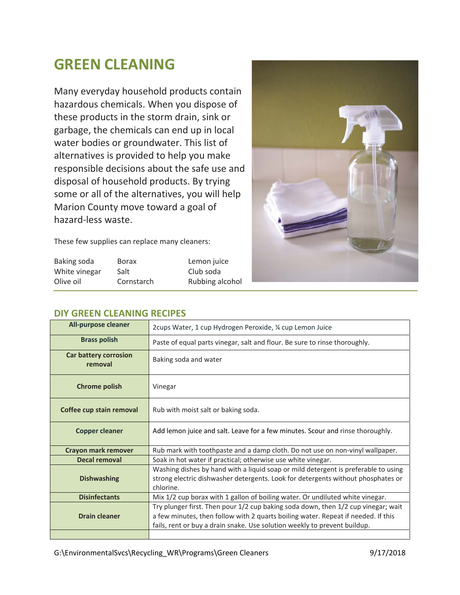## **GREEN CLEANING**

Many everyday household products contain hazardous chemicals. When you dispose of these products in the storm drain, sink or garbage, the chemicals can end up in local water bodies or groundwater. This list of alternatives is provided to help you make responsible decisions about the safe use and disposal of household products. By trying some or all of the alternatives, you will help Marion County move toward a goal of hazard‐less waste.

These few supplies can replace many cleaners:

| Baking soda   | <b>Borax</b> | Lemon juice     |
|---------------|--------------|-----------------|
| White vinegar | Salt         | Club soda       |
| Olive oil     | Cornstarch   | Rubbing alcohol |



| ________________________                |                                                                                                                                                                                                                                                     |  |
|-----------------------------------------|-----------------------------------------------------------------------------------------------------------------------------------------------------------------------------------------------------------------------------------------------------|--|
| <b>All-purpose cleaner</b>              | 2cups Water, 1 cup Hydrogen Peroxide, ¼ cup Lemon Juice                                                                                                                                                                                             |  |
| <b>Brass polish</b>                     | Paste of equal parts vinegar, salt and flour. Be sure to rinse thoroughly.                                                                                                                                                                          |  |
| <b>Car battery corrosion</b><br>removal | Baking soda and water                                                                                                                                                                                                                               |  |
| <b>Chrome polish</b>                    | Vinegar                                                                                                                                                                                                                                             |  |
| Coffee cup stain removal                | Rub with moist salt or baking soda.                                                                                                                                                                                                                 |  |
| <b>Copper cleaner</b>                   | Add lemon juice and salt. Leave for a few minutes. Scour and rinse thoroughly.                                                                                                                                                                      |  |
| Crayon mark remover                     | Rub mark with toothpaste and a damp cloth. Do not use on non-vinyl wallpaper.                                                                                                                                                                       |  |
| <b>Decal removal</b>                    | Soak in hot water if practical; otherwise use white vinegar.                                                                                                                                                                                        |  |
| <b>Dishwashing</b>                      | Washing dishes by hand with a liquid soap or mild detergent is preferable to using<br>strong electric dishwasher detergents. Look for detergents without phosphates or<br>chlorine.                                                                 |  |
| <b>Disinfectants</b>                    | Mix 1/2 cup borax with 1 gallon of boiling water. Or undiluted white vinegar.                                                                                                                                                                       |  |
| <b>Drain cleaner</b>                    | Try plunger first. Then pour 1/2 cup baking soda down, then 1/2 cup vinegar; wait<br>a few minutes, then follow with 2 quarts boiling water. Repeat if needed. If this<br>fails, rent or buy a drain snake. Use solution weekly to prevent buildup. |  |
|                                         |                                                                                                                                                                                                                                                     |  |

## **DIY GREEN CLEANING RECIPES**